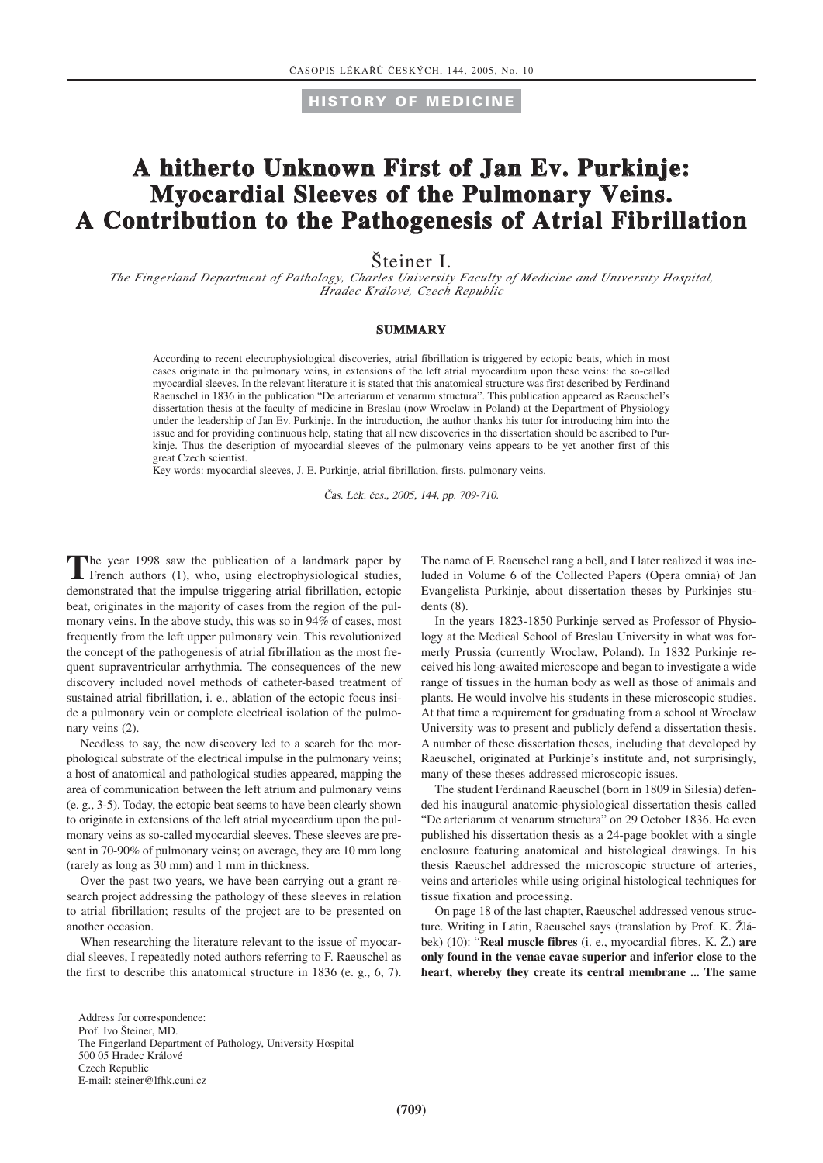**HISTORY OF MEDICINE**

## **A hitherto Unknown First of Jan Ev. Purkinje: Myocardial Sleeves of the Pulmonary Veins. A Contribution to the Pathogenesis of Atrial Fibrillation**

Steiner I.

*The Fingerland Department of Pathology, Charles University Faculty of Medicine and University Hospital, Hradec Králové, Czech Republic*

#### **SUMMARY**

According to recent electrophysiological discoveries, atrial fibrillation is triggered by ectopic beats, which in most cases originate in the pulmonary veins, in extensions of the left atrial myocardium upon these veins: the so-called myocardial sleeves. In the relevant literature it is stated that this anatomical structure was first described by Ferdinand Raeuschel in 1836 in the publication "De arteriarum et venarum structura". This publication appeared as Raeuschel's dissertation thesis at the faculty of medicine in Breslau (now Wroclaw in Poland) at the Department of Physiology under the leadership of Jan Ev. Purkinje. In the introduction, the author thanks his tutor for introducing him into the issue and for providing continuous help, stating that all new discoveries in the dissertation should be ascribed to Purkinje. Thus the description of myocardial sleeves of the pulmonary veins appears to be yet another first of this great Czech scientist.

Key words: myocardial sleeves, J. E. Purkinje, atrial fibrillation, firsts, pulmonary veins.

Čas. Lék. čes., 2005, 144, pp. 709-710.

The year 1998 saw the publication of a landmark paper by French authors (1), who, using electrophysiological studies, demonstrated that the impulse triggering atrial fibrillation, ectopic beat, originates in the majority of cases from the region of the pulmonary veins. In the above study, this was so in 94% of cases, most frequently from the left upper pulmonary vein. This revolutionized the concept of the pathogenesis of atrial fibrillation as the most frequent supraventricular arrhythmia. The consequences of the new discovery included novel methods of catheter-based treatment of sustained atrial fibrillation, i. e., ablation of the ectopic focus inside a pulmonary vein or complete electrical isolation of the pulmonary veins (2).

Needless to say, the new discovery led to a search for the morphological substrate of the electrical impulse in the pulmonary veins; a host of anatomical and pathological studies appeared, mapping the area of communication between the left atrium and pulmonary veins (e. g., 3-5). Today, the ectopic beat seems to have been clearly shown to originate in extensions of the left atrial myocardium upon the pulmonary veins as so-called myocardial sleeves. These sleeves are present in 70-90% of pulmonary veins; on average, they are 10 mm long (rarely as long as 30 mm) and 1 mm in thickness.

Over the past two years, we have been carrying out a grant research project addressing the pathology of these sleeves in relation to atrial fibrillation; results of the project are to be presented on another occasion.

When researching the literature relevant to the issue of myocardial sleeves, I repeatedly noted authors referring to F. Raeuschel as the first to describe this anatomical structure in 1836 (e. g., 6, 7). The name of F. Raeuschel rang a bell, and I later realized it was included in Volume 6 of the Collected Papers (Opera omnia) of Jan Evangelista Purkinje, about dissertation theses by Purkinjes students (8).

In the years 1823-1850 Purkinje served as Professor of Physiology at the Medical School of Breslau University in what was formerly Prussia (currently Wroclaw, Poland). In 1832 Purkinje received his long-awaited microscope and began to investigate a wide range of tissues in the human body as well as those of animals and plants. He would involve his students in these microscopic studies. At that time a requirement for graduating from a school at Wroclaw University was to present and publicly defend a dissertation thesis. A number of these dissertation theses, including that developed by Raeuschel, originated at Purkinje's institute and, not surprisingly, many of these theses addressed microscopic issues.

The student Ferdinand Raeuschel (born in 1809 in Silesia) defended his inaugural anatomic-physiological dissertation thesis called "De arteriarum et venarum structura" on 29 October 1836. He even published his dissertation thesis as a 24-page booklet with a single enclosure featuring anatomical and histological drawings. In his thesis Raeuschel addressed the microscopic structure of arteries, veins and arterioles while using original histological techniques for tissue fixation and processing.

On page 18 of the last chapter, Raeuschel addressed venous structure. Writing in Latin, Raeuschel says (translation by Prof. K. Žlábek) (10): "**Real muscle fibres** (i. e., myocardial fibres, K. Ž.) **are only found in the venae cavae superior and inferior close to the heart, whereby they create its central membrane ... The same**

Address for correspondence:

Prof. Ivo Šteiner, MD.

The Fingerland Department of Pathology, University Hospital

<sup>500 05</sup> Hradec Králové Czech Republic

E-mail: steiner@lfhk.cuni.cz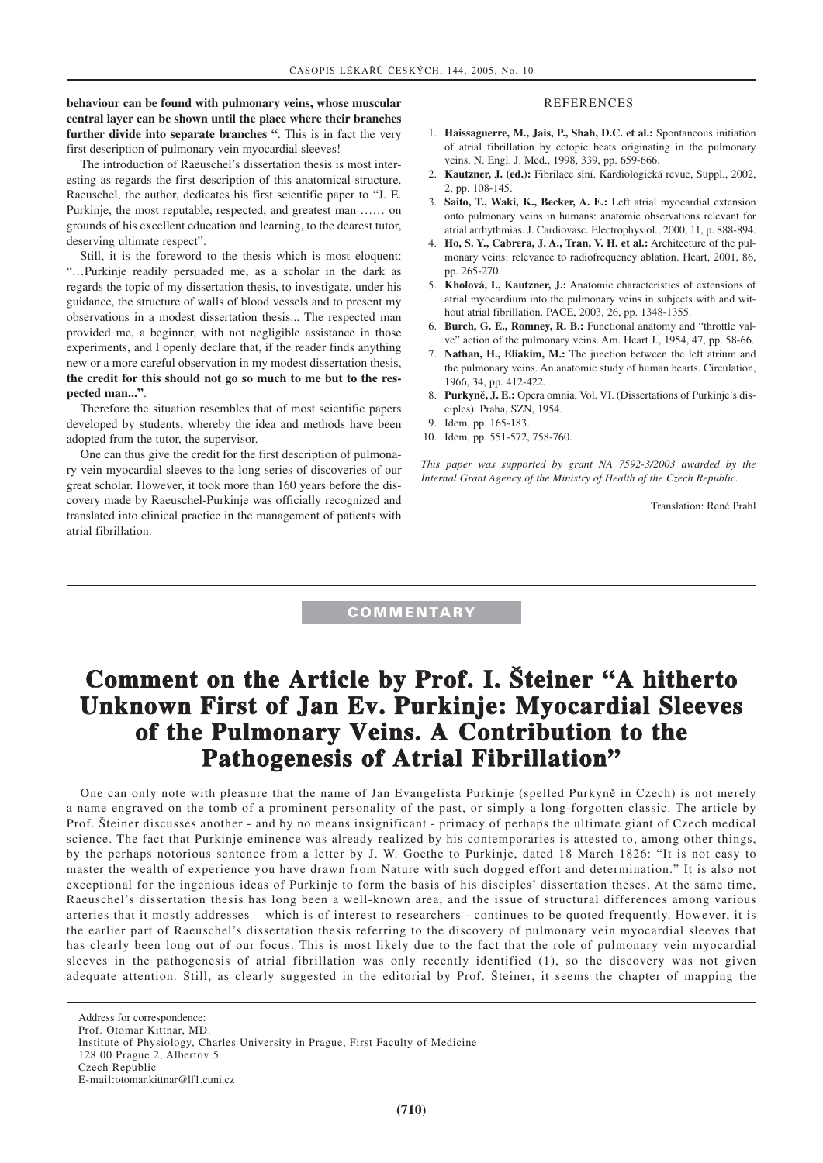#### **behaviour can be found with pulmonary veins, whose muscular central layer can be shown until the place where their branches further divide into separate branches "**. This is in fact the very first description of pulmonary vein myocardial sleeves!

The introduction of Raeuschel's dissertation thesis is most interesting as regards the first description of this anatomical structure. Raeuschel, the author, dedicates his first scientific paper to "J. E. Purkinje, the most reputable, respected, and greatest man …… on grounds of his excellent education and learning, to the dearest tutor, deserving ultimate respect".

Still, it is the foreword to the thesis which is most eloquent: "…Purkinje readily persuaded me, as a scholar in the dark as regards the topic of my dissertation thesis, to investigate, under his guidance, the structure of walls of blood vessels and to present my observations in a modest dissertation thesis... The respected man provided me, a beginner, with not negligible assistance in those experiments, and I openly declare that, if the reader finds anything new or a more careful observation in my modest dissertation thesis, **the credit for this should not go so much to me but to the respected man..."**.

Therefore the situation resembles that of most scientific papers developed by students, whereby the idea and methods have been adopted from the tutor, the supervisor.

One can thus give the credit for the first description of pulmonary vein myocardial sleeves to the long series of discoveries of our great scholar. However, it took more than 160 years before the discovery made by Raeuschel-Purkinje was officially recognized and translated into clinical practice in the management of patients with atrial fibrillation.

#### REFERENCES

- 1. **Haissaguerre, M., Jais, P., Shah, D.C. et al.:** Spontaneous initiation of atrial fibrillation by ectopic beats originating in the pulmonary veins. N. Engl. J. Med., 1998, 339, pp. 659-666.
- 2. **Kautzner, J. (ed.):** Fibrilace síní. Kardiologická revue, Suppl., 2002, 2, pp. 108-145.
- 3. **Saito, T., Waki, K., Becker, A. E.:** Left atrial myocardial extension onto pulmonary veins in humans: anatomic observations relevant for atrial arrhythmias. J. Cardiovasc. Electrophysiol., 2000, 11, p. 888-894.
- 4. **Ho, S. Y., Cabrera, J. A., Tran, V. H. et al.:** Architecture of the pulmonary veins: relevance to radiofrequency ablation. Heart, 2001, 86, pp. 265-270.
- 5. **Kholová, I., Kautzner, J.:** Anatomic characteristics of extensions of atrial myocardium into the pulmonary veins in subjects with and without atrial fibrillation. PACE, 2003, 26, pp. 1348-1355.
- 6. **Burch, G. E., Romney, R. B.:** Functional anatomy and "throttle valve" action of the pulmonary veins. Am. Heart J., 1954, 47, pp. 58-66.
- 7. **Nathan, H., Eliakim, M.:** The junction between the left atrium and the pulmonary veins. An anatomic study of human hearts. Circulation, 1966, 34, pp. 412-422.
- 8. **Purkyně, J. E.:** Opera omnia, Vol. VI. (Dissertations of Purkinje's disciples). Praha, SZN, 1954.
- 9. Idem, pp. 165-183.
- 10. Idem, pp. 551-572, 758-760.

*This paper was supported by grant NA 7592-3/2003 awarded by the Internal Grant Agency of the Ministry of Health of the Czech Republic.*

Translation: René Prahl

### **COMMENTARY**

# **Comment on the Article by Prof. I. Šteiner "A hitherto Unknown First of Jan Ev. Purkinje: Myocardial Sleeves of the Pulmonary Veins. A Contribution to the Pathogenesis of Atrial Fibrillation"**

One can only note with pleasure that the name of Jan Evangelista Purkinje (spelled Purkyně in Czech) is not merely a name engraved on the tomb of a prominent personality of the past, or simply a long-forgotten classic. The article by Prof. Šteiner discusses another - and by no means insignificant - primacy of perhaps the ultimate giant of Czech medical science. The fact that Purkinje eminence was already realized by his contemporaries is attested to, among other things, by the perhaps notorious sentence from a letter by J. W. Goethe to Purkinje, dated 18 March 1826: "It is not easy to master the wealth of experience you have drawn from Nature with such dogged effort and determination." It is also not exceptional for the ingenious ideas of Purkinje to form the basis of his disciples' dissertation theses. At the same time, Raeuschel's dissertation thesis has long been a well-known area, and the issue of structural differences among various arteries that it mostly addresses – which is of interest to researchers - continues to be quoted frequently. However, it is the earlier part of Raeuschel's dissertation thesis referring to the discovery of pulmonary vein myocardial sleeves that has clearly been long out of our focus. This is most likely due to the fact that the role of pulmonary vein myocardial sleeves in the pathogenesis of atrial fibrillation was only recently identified (1), so the discovery was not given adequate attention. Still, as clearly suggested in the editorial by Prof. Šteiner, it seems the chapter of mapping the

Address for correspondence: Prof. Otomar Kittnar, MD.

Institute of Physiology, Charles University in Prague, First Faculty of Medicine

<sup>128 00</sup> Prague 2, Albertov 5

Czech Republic

E-mail:otomar.kittnar@lf1.cuni.cz